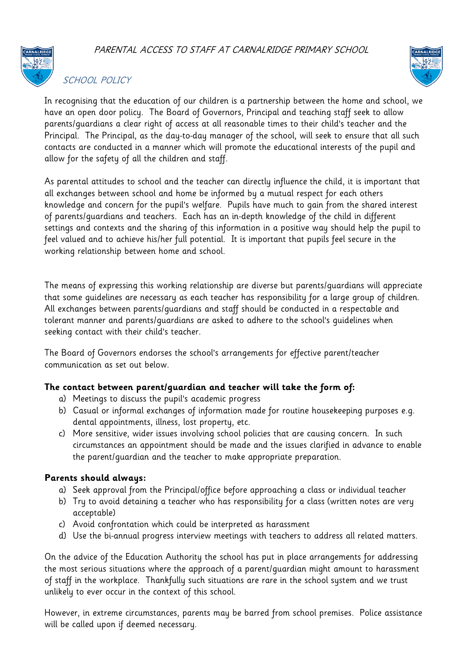PARENTAL ACCESS TO STAFF AT CARNALRIDGE PRIMARY SCHOOL



## SCHOOL POLICY



In recognising that the education of our children is a partnership between the home and school, we have an open door policy. The Board of Governors, Principal and teaching staff seek to allow parents/guardians a clear right of access at all reasonable times to their child's teacher and the Principal. The Principal, as the day-to-day manager of the school, will seek to ensure that all such contacts are conducted in a manner which will promote the educational interests of the pupil and allow for the safety of all the children and staff.

As parental attitudes to school and the teacher can directly influence the child, it is important that all exchanges between school and home be informed by a mutual respect for each others knowledge and concern for the pupil's welfare. Pupils have much to gain from the shared interest of parents/guardians and teachers. Each has an in-depth knowledge of the child in different settings and contexts and the sharing of this information in a positive way should help the pupil to feel valued and to achieve his/her full potential. It is important that pupils feel secure in the working relationship between home and school.

The means of expressing this working relationship are diverse but parents/guardians will appreciate that some guidelines are necessary as each teacher has responsibility for a large group of children. All exchanges between parents/guardians and staff should be conducted in a respectable and tolerant manner and parents/guardians are asked to adhere to the school's guidelines when seeking contact with their child's teacher.

The Board of Governors endorses the school's arrangements for effective parent/teacher communication as set out below.

## **The contact between parent/guardian and teacher will take the form of:**

- a) Meetings to discuss the pupil's academic progress
- b) Casual or informal exchanges of information made for routine housekeeping purposes e.g. dental appointments, illness, lost property, etc.
- c) More sensitive, wider issues involving school policies that are causing concern. In such circumstances an appointment should be made and the issues clarified in advance to enable the parent/guardian and the teacher to make appropriate preparation.

## **Parents should always:**

- a) Seek approval from the Principal/office before approaching a class or individual teacher
- b) Try to avoid detaining a teacher who has responsibility for a class (written notes are very acceptable)
- c) Avoid confrontation which could be interpreted as harassment
- d) Use the bi-annual progress interview meetings with teachers to address all related matters.

On the advice of the Education Authority the school has put in place arrangements for addressing the most serious situations where the approach of a parent/guardian might amount to harassment of staff in the workplace. Thankfully such situations are rare in the school system and we trust unlikely to ever occur in the context of this school.

However, in extreme circumstances, parents may be barred from school premises. Police assistance will be called upon if deemed necessary.